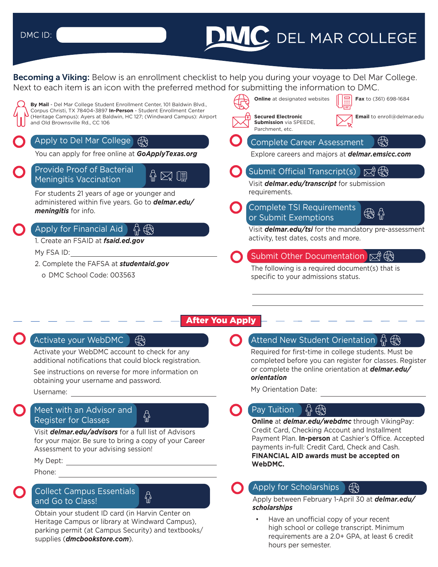#### DMC ID:

# **DIMC** DEL MAR COLLEGE

**Becoming a Viking:** Below is an enrollment checklist to help you during your voyage to Del Mar College. Next to each item is an icon with the preferred method for submitting the information to DMC.



#### After You Apply

Activate your WebDMC account to check for any additional notifications that could block registration.

See instructions on reverse for more information on obtaining your username and password.

Username:

#### Meet with an Advisor and Register for Classes

Payment Plan. **In-person** at Cashier's Office. Accepted for your major. Be sure to bring a copy of your Career Assessment to your advising session!

 $\bigoplus$ 

Phone:

# **Collect Campus Essentials**  $\overline{A}$  **Collect Campus Essentials**

Obtain your student ID card (in Harvin Center on **Scholarships**<br>Heritage Campus or library at Windward Campus) **Campus** Have an unofficial copy of your recent Heritage Campus or library at Windward Campus), **Findmen State and State and Unofficial copy of your recent**<br>High school or college transcript. Minimum parking permit (at Campus Security) and textbooks/

#### Activate your WebDMC  $\begin{pmatrix} 1 & 1 \end{pmatrix}$   $\begin{pmatrix} 0 & 1 \end{pmatrix}$  (Attend New Student Orientation  $\begin{pmatrix} 1 & 1 \end{pmatrix}$

Required for first-time in college students. Must be completed before you can register for classes. Register or complete the online orientation at *[delmar.edu](https://delmar.edu/orientation)/ orientation* 

My Orientation Date:

#### Pay Tuition

**Online** at *delmar.edu/webdmc* through VikingPay: Visit **[delmar.edu/advisors](https://delmar.edu/advisors)** for a full list of Advisors<br>
For your major. Be sure to bring a copy of your Career **For a superfect of a function** Plan. **In-person** at Cashier's Office. Accepted My Dept: **No. 2008. FINANCIAL AID awards must be accepted on My Dept: WebDMC.** 

#### ∰

scholarships and Go to Class!<br>and Go to Class! Apply between February 1-April 30 at *[delmar.edu/](https://delmar.edu/scholarships)* 

requirements are a 2.0+ GPA, at least 6 credit supplies (**[dmcbookstore.com](https://dmcbookstore.com)**). The supplies (**dmcbookstore.com**).